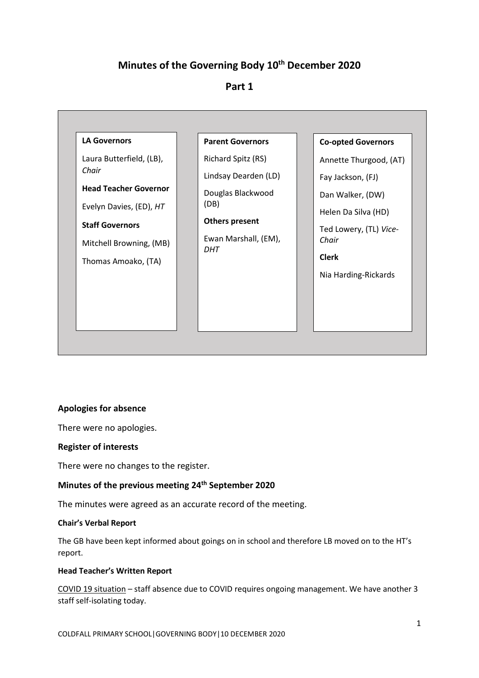# **Minutes of the Governing Body 10th December 2020**

# **Part 1**



## **Apologies for absence**

There were no apologies.

### **Register of interests**

There were no changes to the register.

# **Minutes of the previous meeting 24th September 2020**

The minutes were agreed as an accurate record of the meeting.

### **Chair's Verbal Report**

The GB have been kept informed about goings on in school and therefore LB moved on to the HT's report.

## **Head Teacher's Written Report**

COVID 19 situation – staff absence due to COVID requires ongoing management. We have another 3 staff self-isolating today.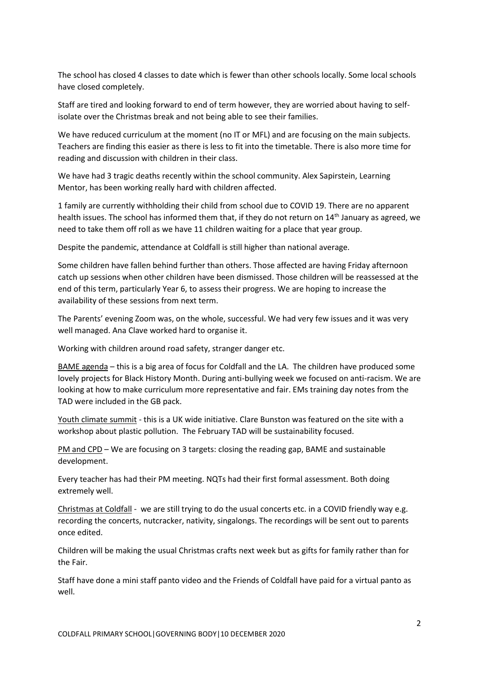The school has closed 4 classes to date which is fewer than other schools locally. Some local schools have closed completely.

Staff are tired and looking forward to end of term however, they are worried about having to selfisolate over the Christmas break and not being able to see their families.

We have reduced curriculum at the moment (no IT or MFL) and are focusing on the main subjects. Teachers are finding this easier as there is less to fit into the timetable. There is also more time for reading and discussion with children in their class.

We have had 3 tragic deaths recently within the school community. Alex Sapirstein, Learning Mentor, has been working really hard with children affected.

1 family are currently withholding their child from school due to COVID 19. There are no apparent health issues. The school has informed them that, if they do not return on 14<sup>th</sup> January as agreed, we need to take them off roll as we have 11 children waiting for a place that year group.

Despite the pandemic, attendance at Coldfall is still higher than national average.

Some children have fallen behind further than others. Those affected are having Friday afternoon catch up sessions when other children have been dismissed. Those children will be reassessed at the end of this term, particularly Year 6, to assess their progress. We are hoping to increase the availability of these sessions from next term.

The Parents' evening Zoom was, on the whole, successful. We had very few issues and it was very well managed. Ana Clave worked hard to organise it.

Working with children around road safety, stranger danger etc.

BAME agenda – this is a big area of focus for Coldfall and the LA. The children have produced some lovely projects for Black History Month. During anti-bullying week we focused on anti-racism. We are looking at how to make curriculum more representative and fair. EMs training day notes from the TAD were included in the GB pack.

Youth climate summit - this is a UK wide initiative. Clare Bunston was featured on the site with a workshop about plastic pollution. The February TAD will be sustainability focused.

PM and CPD – We are focusing on 3 targets: closing the reading gap, BAME and sustainable development.

Every teacher has had their PM meeting. NQTs had their first formal assessment. Both doing extremely well.

Christmas at Coldfall - we are still trying to do the usual concerts etc. in a COVID friendly way e.g. recording the concerts, nutcracker, nativity, singalongs. The recordings will be sent out to parents once edited.

Children will be making the usual Christmas crafts next week but as gifts for family rather than for the Fair.

Staff have done a mini staff panto video and the Friends of Coldfall have paid for a virtual panto as well.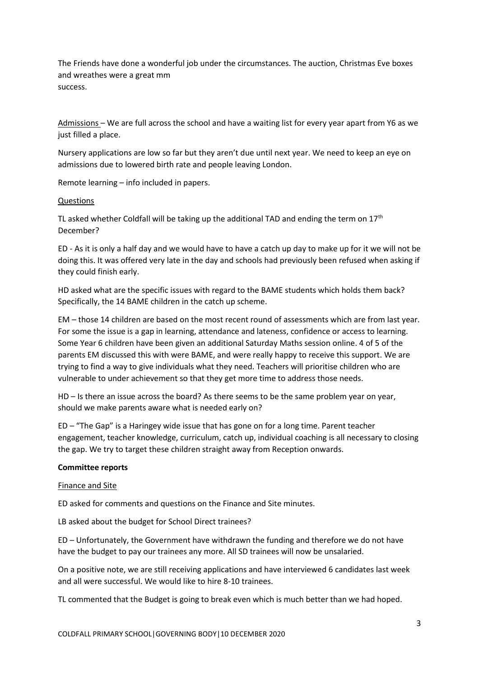The Friends have done a wonderful job under the circumstances. The auction, Christmas Eve boxes and wreathes were a great mm success.

Admissions – We are full across the school and have a waiting list for every year apart from Y6 as we just filled a place.

Nursery applications are low so far but they aren't due until next year. We need to keep an eye on admissions due to lowered birth rate and people leaving London.

Remote learning – info included in papers.

#### Questions

TL asked whether Coldfall will be taking up the additional TAD and ending the term on  $17<sup>th</sup>$ December?

ED - As it is only a half day and we would have to have a catch up day to make up for it we will not be doing this. It was offered very late in the day and schools had previously been refused when asking if they could finish early.

HD asked what are the specific issues with regard to the BAME students which holds them back? Specifically, the 14 BAME children in the catch up scheme.

EM – those 14 children are based on the most recent round of assessments which are from last year. For some the issue is a gap in learning, attendance and lateness, confidence or access to learning. Some Year 6 children have been given an additional Saturday Maths session online. 4 of 5 of the parents EM discussed this with were BAME, and were really happy to receive this support. We are trying to find a way to give individuals what they need. Teachers will prioritise children who are vulnerable to under achievement so that they get more time to address those needs.

HD – Is there an issue across the board? As there seems to be the same problem year on year, should we make parents aware what is needed early on?

ED – "The Gap" is a Haringey wide issue that has gone on for a long time. Parent teacher engagement, teacher knowledge, curriculum, catch up, individual coaching is all necessary to closing the gap. We try to target these children straight away from Reception onwards.

#### **Committee reports**

#### Finance and Site

ED asked for comments and questions on the Finance and Site minutes.

LB asked about the budget for School Direct trainees?

ED – Unfortunately, the Government have withdrawn the funding and therefore we do not have have the budget to pay our trainees any more. All SD trainees will now be unsalaried.

On a positive note, we are still receiving applications and have interviewed 6 candidates last week and all were successful. We would like to hire 8-10 trainees.

TL commented that the Budget is going to break even which is much better than we had hoped.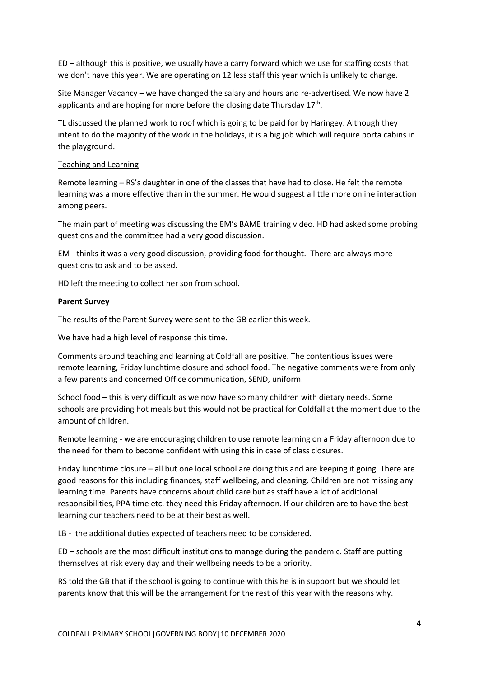ED – although this is positive, we usually have a carry forward which we use for staffing costs that we don't have this year. We are operating on 12 less staff this year which is unlikely to change.

Site Manager Vacancy – we have changed the salary and hours and re-advertised. We now have 2 applicants and are hoping for more before the closing date Thursday  $17<sup>th</sup>$ .

TL discussed the planned work to roof which is going to be paid for by Haringey. Although they intent to do the majority of the work in the holidays, it is a big job which will require porta cabins in the playground.

#### Teaching and Learning

Remote learning – RS's daughter in one of the classes that have had to close. He felt the remote learning was a more effective than in the summer. He would suggest a little more online interaction among peers.

The main part of meeting was discussing the EM's BAME training video. HD had asked some probing questions and the committee had a very good discussion.

EM - thinks it was a very good discussion, providing food for thought. There are always more questions to ask and to be asked.

HD left the meeting to collect her son from school.

#### **Parent Survey**

The results of the Parent Survey were sent to the GB earlier this week.

We have had a high level of response this time.

Comments around teaching and learning at Coldfall are positive. The contentious issues were remote learning, Friday lunchtime closure and school food. The negative comments were from only a few parents and concerned Office communication, SEND, uniform.

School food – this is very difficult as we now have so many children with dietary needs. Some schools are providing hot meals but this would not be practical for Coldfall at the moment due to the amount of children.

Remote learning - we are encouraging children to use remote learning on a Friday afternoon due to the need for them to become confident with using this in case of class closures.

Friday lunchtime closure – all but one local school are doing this and are keeping it going. There are good reasons for this including finances, staff wellbeing, and cleaning. Children are not missing any learning time. Parents have concerns about child care but as staff have a lot of additional responsibilities, PPA time etc. they need this Friday afternoon. If our children are to have the best learning our teachers need to be at their best as well.

LB - the additional duties expected of teachers need to be considered.

ED – schools are the most difficult institutions to manage during the pandemic. Staff are putting themselves at risk every day and their wellbeing needs to be a priority.

RS told the GB that if the school is going to continue with this he is in support but we should let parents know that this will be the arrangement for the rest of this year with the reasons why.